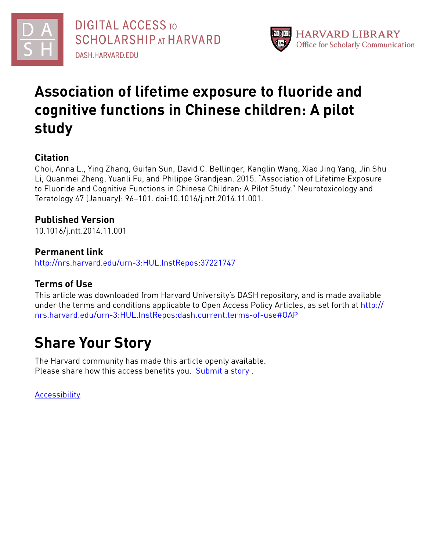



# **Association of lifetime exposure to fluoride and cognitive functions in Chinese children: A pilot study**

## **Citation**

Choi, Anna L., Ying Zhang, Guifan Sun, David C. Bellinger, Kanglin Wang, Xiao Jing Yang, Jin Shu Li, Quanmei Zheng, Yuanli Fu, and Philippe Grandjean. 2015. "Association of Lifetime Exposure to Fluoride and Cognitive Functions in Chinese Children: A Pilot Study." Neurotoxicology and Teratology 47 (January): 96–101. doi:10.1016/j.ntt.2014.11.001.

## **Published Version**

10.1016/j.ntt.2014.11.001

### **Permanent link**

<http://nrs.harvard.edu/urn-3:HUL.InstRepos:37221747>

## **Terms of Use**

This article was downloaded from Harvard University's DASH repository, and is made available under the terms and conditions applicable to Open Access Policy Articles, as set forth at [http://](http://nrs.harvard.edu/urn-3:HUL.InstRepos:dash.current.terms-of-use#OAP) [nrs.harvard.edu/urn-3:HUL.InstRepos:dash.current.terms-of-use#OAP](http://nrs.harvard.edu/urn-3:HUL.InstRepos:dash.current.terms-of-use#OAP)

# **Share Your Story**

The Harvard community has made this article openly available. Please share how this access benefits you. [Submit](http://osc.hul.harvard.edu/dash/open-access-feedback?handle=&title=Association%20of%20lifetime%20exposure%20to%20fluoride%20and%20cognitive%20functions%20in%20Chinese%20children:%20A%20pilot%20study&community=1/4454687&collection=1/4454688&owningCollection1/4454688&harvardAuthors=209880db00dcc09933d4cc633b19d2bc&department) a story .

[Accessibility](https://dash.harvard.edu/pages/accessibility)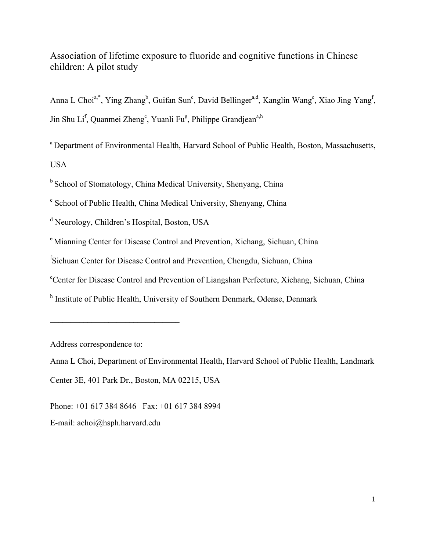Association of lifetime exposure to fluoride and cognitive functions in Chinese children: A pilot study

Anna L Choi<sup>a,\*</sup>, Ying Zhang<sup>b</sup>, Guifan Sun<sup>c</sup>, David Bellinger<sup>a,d</sup>, Kanglin Wang<sup>e</sup>, Xiao Jing Yang<sup>f</sup>, Jin Shu Li<sup>f</sup>, Quanmei Zheng<sup>e</sup>, Yuanli Fu<sup>g</sup>, Philippe Grandjean<sup>a,h</sup>

<sup>a</sup> Department of Environmental Health, Harvard School of Public Health, Boston, Massachusetts, USA

<sup>b</sup> School of Stomatology, China Medical University, Shenyang, China

<sup>c</sup> School of Public Health, China Medical University, Shenyang, China

<sup>d</sup> Neurology, Children's Hospital, Boston, USA

<sup>e</sup> Mianning Center for Disease Control and Prevention, Xichang, Sichuan, China

f Sichuan Center for Disease Control and Prevention, Chengdu, Sichuan, China

e Center for Disease Control and Prevention of Liangshan Perfecture, Xichang, Sichuan, China

<sup>h</sup> Institute of Public Health, University of Southern Denmark, Odense, Denmark

Address correspondence to:

**\_\_\_\_\_\_\_\_\_\_\_\_\_\_\_\_\_\_\_\_\_\_\_\_\_\_\_\_\_\_\_**

Anna L Choi, Department of Environmental Health, Harvard School of Public Health, Landmark

Center 3E, 401 Park Dr., Boston, MA 02215, USA

Phone: +01 617 384 8646 Fax: +01 617 384 8994

E-mail: achoi@hsph.harvard.edu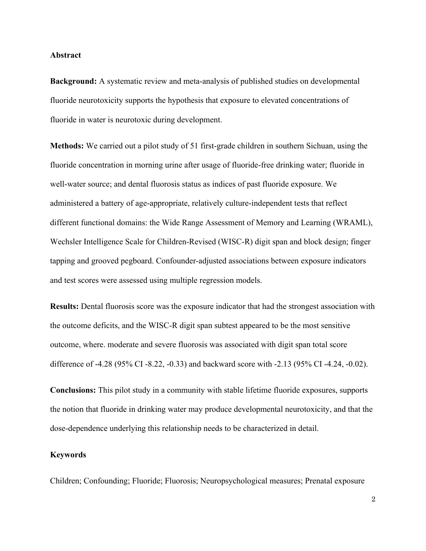#### **Abstract**

**Background:** A systematic review and meta-analysis of published studies on developmental fluoride neurotoxicity supports the hypothesis that exposure to elevated concentrations of fluoride in water is neurotoxic during development.

**Methods:** We carried out a pilot study of 51 first-grade children in southern Sichuan, using the fluoride concentration in morning urine after usage of fluoride-free drinking water; fluoride in well-water source; and dental fluorosis status as indices of past fluoride exposure. We administered a battery of age-appropriate, relatively culture-independent tests that reflect different functional domains: the Wide Range Assessment of Memory and Learning (WRAML), Wechsler Intelligence Scale for Children-Revised (WISC-R) digit span and block design; finger tapping and grooved pegboard. Confounder-adjusted associations between exposure indicators and test scores were assessed using multiple regression models.

**Results:** Dental fluorosis score was the exposure indicator that had the strongest association with the outcome deficits, and the WISC-R digit span subtest appeared to be the most sensitive outcome, where. moderate and severe fluorosis was associated with digit span total score difference of -4.28 (95% CI -8.22, -0.33) and backward score with -2.13 (95% CI -4.24, -0.02).

**Conclusions:** This pilot study in a community with stable lifetime fluoride exposures, supports the notion that fluoride in drinking water may produce developmental neurotoxicity, and that the dose-dependence underlying this relationship needs to be characterized in detail.

#### **Keywords**

Children; Confounding; Fluoride; Fluorosis; Neuropsychological measures; Prenatal exposure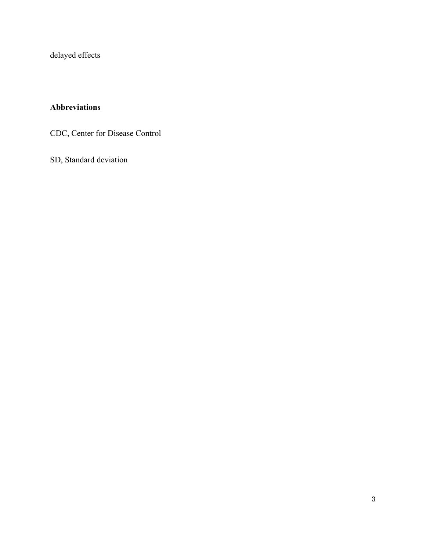delayed effects

### **Abbreviations**

CDC, Center for Disease Control

SD, Standard deviation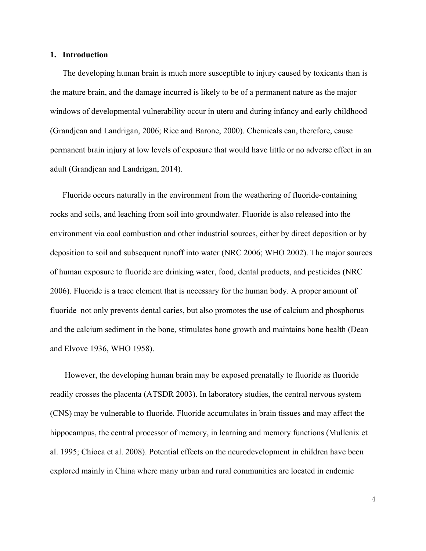#### **1. Introduction**

The developing human brain is much more susceptible to injury caused by toxicants than is the mature brain, and the damage incurred is likely to be of a permanent nature as the major windows of developmental vulnerability occur in utero and during infancy and early childhood (Grandjean and Landrigan, 2006; Rice and Barone, 2000). Chemicals can, therefore, cause permanent brain injury at low levels of exposure that would have little or no adverse effect in an adult (Grandjean and Landrigan, 2014).

Fluoride occurs naturally in the environment from the weathering of fluoride-containing rocks and soils, and leaching from soil into groundwater. Fluoride is also released into the environment via coal combustion and other industrial sources, either by direct deposition or by deposition to soil and subsequent runoff into water (NRC 2006; WHO 2002). The major sources of human exposure to fluoride are drinking water, food, dental products, and pesticides (NRC 2006). Fluoride is a trace element that is necessary for the human body. A proper amount of fluoride not only prevents dental caries, but also promotes the use of calcium and phosphorus and the calcium sediment in the bone, stimulates bone growth and maintains bone health (Dean and Elvove 1936, WHO 1958).

However, the developing human brain may be exposed prenatally to fluoride as fluoride readily crosses the placenta (ATSDR 2003). In laboratory studies, the central nervous system (CNS) may be vulnerable to fluoride. Fluoride accumulates in brain tissues and may affect the hippocampus, the central processor of memory, in learning and memory functions (Mullenix et al. 1995; Chioca et al. 2008). Potential effects on the neurodevelopment in children have been explored mainly in China where many urban and rural communities are located in endemic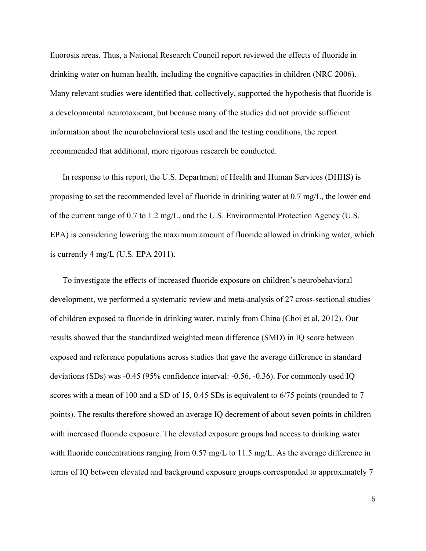fluorosis areas. Thus, a National Research Council report reviewed the effects of fluoride in drinking water on human health, including the cognitive capacities in children (NRC 2006). Many relevant studies were identified that, collectively, supported the hypothesis that fluoride is a developmental neurotoxicant, but because many of the studies did not provide sufficient information about the neurobehavioral tests used and the testing conditions, the report recommended that additional, more rigorous research be conducted.

In response to this report, the U.S. Department of Health and Human Services (DHHS) is proposing to set the recommended level of fluoride in drinking water at 0.7 mg/L, the lower end of the current range of 0.7 to 1.2 mg/L, and the U.S. Environmental Protection Agency (U.S. EPA) is considering lowering the maximum amount of fluoride allowed in drinking water, which is currently 4 mg/L (U.S. EPA 2011).

To investigate the effects of increased fluoride exposure on children's neurobehavioral development, we performed a systematic review and meta-analysis of 27 cross-sectional studies of children exposed to fluoride in drinking water, mainly from China (Choi et al. 2012). Our results showed that the standardized weighted mean difference (SMD) in IQ score between exposed and reference populations across studies that gave the average difference in standard deviations (SDs) was -0.45 (95% confidence interval: -0.56, -0.36). For commonly used IQ scores with a mean of 100 and a SD of 15, 0.45 SDs is equivalent to 6/75 points (rounded to 7 points). The results therefore showed an average IQ decrement of about seven points in children with increased fluoride exposure. The elevated exposure groups had access to drinking water with fluoride concentrations ranging from 0.57 mg/L to 11.5 mg/L. As the average difference in terms of IQ between elevated and background exposure groups corresponded to approximately 7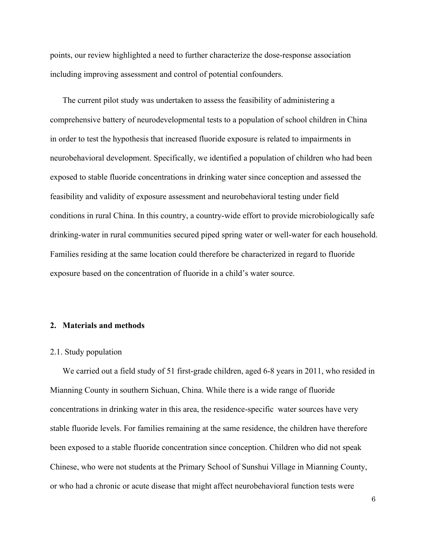points, our review highlighted a need to further characterize the dose-response association including improving assessment and control of potential confounders.

The current pilot study was undertaken to assess the feasibility of administering a comprehensive battery of neurodevelopmental tests to a population of school children in China in order to test the hypothesis that increased fluoride exposure is related to impairments in neurobehavioral development. Specifically, we identified a population of children who had been exposed to stable fluoride concentrations in drinking water since conception and assessed the feasibility and validity of exposure assessment and neurobehavioral testing under field conditions in rural China. In this country, a country-wide effort to provide microbiologically safe drinking-water in rural communities secured piped spring water or well-water for each household. Families residing at the same location could therefore be characterized in regard to fluoride exposure based on the concentration of fluoride in a child's water source.

#### **2. Materials and methods**

#### 2.1. Study population

We carried out a field study of 51 first-grade children, aged 6-8 years in 2011, who resided in Mianning County in southern Sichuan, China. While there is a wide range of fluoride concentrations in drinking water in this area, the residence-specific water sources have very stable fluoride levels. For families remaining at the same residence, the children have therefore been exposed to a stable fluoride concentration since conception. Children who did not speak Chinese, who were not students at the Primary School of Sunshui Village in Mianning County, or who had a chronic or acute disease that might affect neurobehavioral function tests were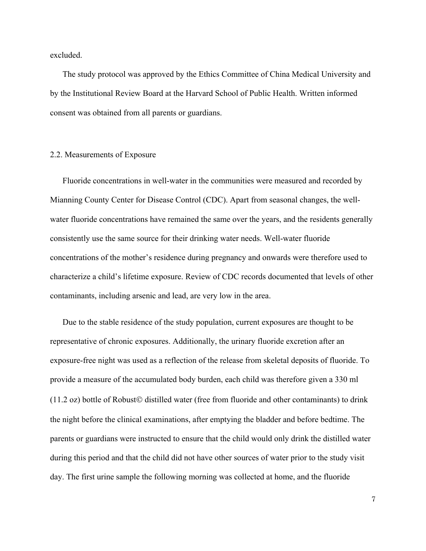excluded.

The study protocol was approved by the Ethics Committee of China Medical University and by the Institutional Review Board at the Harvard School of Public Health. Written informed consent was obtained from all parents or guardians.

#### 2.2. Measurements of Exposure

Fluoride concentrations in well-water in the communities were measured and recorded by Mianning County Center for Disease Control (CDC). Apart from seasonal changes, the wellwater fluoride concentrations have remained the same over the years, and the residents generally consistently use the same source for their drinking water needs. Well-water fluoride concentrations of the mother's residence during pregnancy and onwards were therefore used to characterize a child's lifetime exposure. Review of CDC records documented that levels of other contaminants, including arsenic and lead, are very low in the area.

Due to the stable residence of the study population, current exposures are thought to be representative of chronic exposures. Additionally, the urinary fluoride excretion after an exposure-free night was used as a reflection of the release from skeletal deposits of fluoride. To provide a measure of the accumulated body burden, each child was therefore given a 330 ml  $(11.2 \text{ oz})$  bottle of Robust© distilled water (free from fluoride and other contaminants) to drink the night before the clinical examinations, after emptying the bladder and before bedtime. The parents or guardians were instructed to ensure that the child would only drink the distilled water during this period and that the child did not have other sources of water prior to the study visit day. The first urine sample the following morning was collected at home, and the fluoride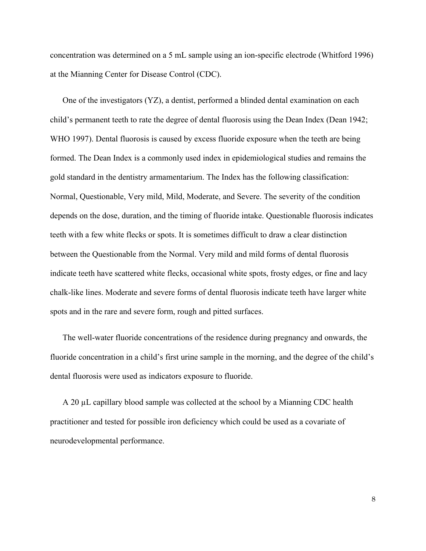concentration was determined on a 5 mL sample using an ion-specific electrode (Whitford 1996) at the Mianning Center for Disease Control (CDC).

One of the investigators (YZ), a dentist, performed a blinded dental examination on each child's permanent teeth to rate the degree of dental fluorosis using the Dean Index (Dean 1942; WHO 1997). Dental fluorosis is caused by excess fluoride exposure when the teeth are being formed. The Dean Index is a commonly used index in epidemiological studies and remains the gold standard in the dentistry armamentarium. The Index has the following classification: Normal, Questionable, Very mild, Mild, Moderate, and Severe. The severity of the condition depends on the dose, duration, and the timing of fluoride intake. Questionable fluorosis indicates teeth with a few white flecks or spots. It is sometimes difficult to draw a clear distinction between the Questionable from the Normal. Very mild and mild forms of dental fluorosis indicate teeth have scattered white flecks, occasional white spots, frosty edges, or fine and lacy chalk-like lines. Moderate and severe forms of dental fluorosis indicate teeth have larger white spots and in the rare and severe form, rough and pitted surfaces.

The well-water fluoride concentrations of the residence during pregnancy and onwards, the fluoride concentration in a child's first urine sample in the morning, and the degree of the child's dental fluorosis were used as indicators exposure to fluoride.

A 20 µL capillary blood sample was collected at the school by a Mianning CDC health practitioner and tested for possible iron deficiency which could be used as a covariate of neurodevelopmental performance.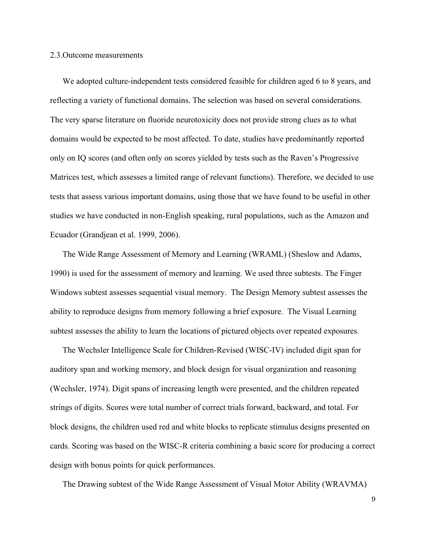#### 2.3.Outcome measurements

We adopted culture-independent tests considered feasible for children aged 6 to 8 years, and reflecting a variety of functional domains. The selection was based on several considerations. The very sparse literature on fluoride neurotoxicity does not provide strong clues as to what domains would be expected to be most affected. To date, studies have predominantly reported only on IQ scores (and often only on scores yielded by tests such as the Raven's Progressive Matrices test, which assesses a limited range of relevant functions). Therefore, we decided to use tests that assess various important domains, using those that we have found to be useful in other studies we have conducted in non-English speaking, rural populations, such as the Amazon and Ecuador (Grandjean et al. 1999, 2006).

The Wide Range Assessment of Memory and Learning (WRAML) (Sheslow and Adams, 1990) is used for the assessment of memory and learning. We used three subtests. The Finger Windows subtest assesses sequential visual memory. The Design Memory subtest assesses the ability to reproduce designs from memory following a brief exposure. The Visual Learning subtest assesses the ability to learn the locations of pictured objects over repeated exposures.

The Wechsler Intelligence Scale for Children-Revised (WISC-IV) included digit span for auditory span and working memory, and block design for visual organization and reasoning (Wechsler, 1974). Digit spans of increasing length were presented, and the children repeated strings of digits. Scores were total number of correct trials forward, backward, and total. For block designs, the children used red and white blocks to replicate stimulus designs presented on cards. Scoring was based on the WISC-R criteria combining a basic score for producing a correct design with bonus points for quick performances.

The Drawing subtest of the Wide Range Assessment of Visual Motor Ability (WRAVMA)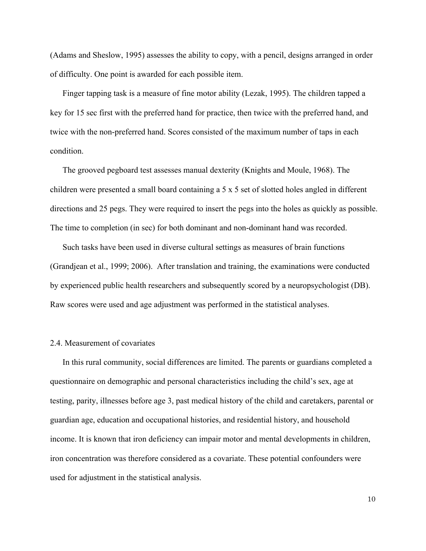(Adams and Sheslow, 1995) assesses the ability to copy, with a pencil, designs arranged in order of difficulty. One point is awarded for each possible item.

Finger tapping task is a measure of fine motor ability (Lezak, 1995). The children tapped a key for 15 sec first with the preferred hand for practice, then twice with the preferred hand, and twice with the non-preferred hand. Scores consisted of the maximum number of taps in each condition.

The grooved pegboard test assesses manual dexterity (Knights and Moule, 1968). The children were presented a small board containing a 5 x 5 set of slotted holes angled in different directions and 25 pegs. They were required to insert the pegs into the holes as quickly as possible. The time to completion (in sec) for both dominant and non-dominant hand was recorded.

Such tasks have been used in diverse cultural settings as measures of brain functions (Grandjean et al., 1999; 2006). After translation and training, the examinations were conducted by experienced public health researchers and subsequently scored by a neuropsychologist (DB). Raw scores were used and age adjustment was performed in the statistical analyses.

#### 2.4. Measurement of covariates

In this rural community, social differences are limited. The parents or guardians completed a questionnaire on demographic and personal characteristics including the child's sex, age at testing, parity, illnesses before age 3, past medical history of the child and caretakers, parental or guardian age, education and occupational histories, and residential history, and household income. It is known that iron deficiency can impair motor and mental developments in children, iron concentration was therefore considered as a covariate. These potential confounders were used for adjustment in the statistical analysis.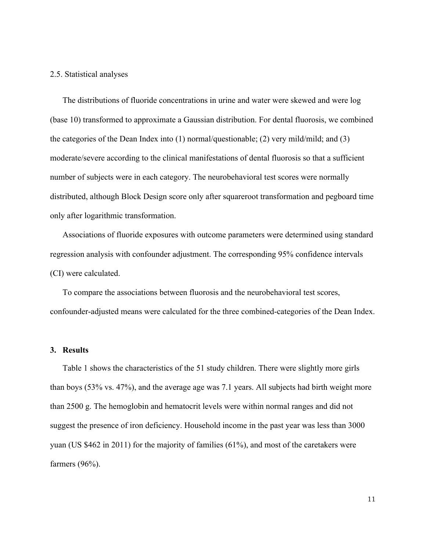#### 2.5. Statistical analyses

The distributions of fluoride concentrations in urine and water were skewed and were log (base 10) transformed to approximate a Gaussian distribution. For dental fluorosis, we combined the categories of the Dean Index into (1) normal/questionable; (2) very mild/mild; and (3) moderate/severe according to the clinical manifestations of dental fluorosis so that a sufficient number of subjects were in each category. The neurobehavioral test scores were normally distributed, although Block Design score only after squareroot transformation and pegboard time only after logarithmic transformation.

Associations of fluoride exposures with outcome parameters were determined using standard regression analysis with confounder adjustment. The corresponding 95% confidence intervals (CI) were calculated.

To compare the associations between fluorosis and the neurobehavioral test scores, confounder-adjusted means were calculated for the three combined-categories of the Dean Index.

#### **3. Results**

Table 1 shows the characteristics of the 51 study children. There were slightly more girls than boys (53% vs. 47%), and the average age was 7.1 years. All subjects had birth weight more than 2500 g. The hemoglobin and hematocrit levels were within normal ranges and did not suggest the presence of iron deficiency. Household income in the past year was less than 3000 yuan (US \$462 in 2011) for the majority of families (61%), and most of the caretakers were farmers (96%).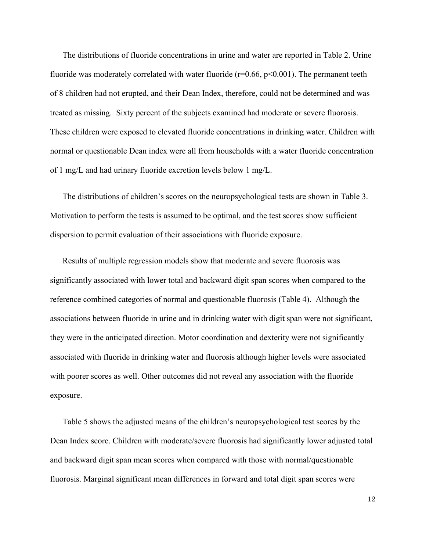The distributions of fluoride concentrations in urine and water are reported in Table 2. Urine fluoride was moderately correlated with water fluoride ( $r=0.66$ ,  $p<0.001$ ). The permanent teeth of 8 children had not erupted, and their Dean Index, therefore, could not be determined and was treated as missing. Sixty percent of the subjects examined had moderate or severe fluorosis. These children were exposed to elevated fluoride concentrations in drinking water. Children with normal or questionable Dean index were all from households with a water fluoride concentration of 1 mg/L and had urinary fluoride excretion levels below 1 mg/L.

The distributions of children's scores on the neuropsychological tests are shown in Table 3. Motivation to perform the tests is assumed to be optimal, and the test scores show sufficient dispersion to permit evaluation of their associations with fluoride exposure.

Results of multiple regression models show that moderate and severe fluorosis was significantly associated with lower total and backward digit span scores when compared to the reference combined categories of normal and questionable fluorosis (Table 4). Although the associations between fluoride in urine and in drinking water with digit span were not significant, they were in the anticipated direction. Motor coordination and dexterity were not significantly associated with fluoride in drinking water and fluorosis although higher levels were associated with poorer scores as well. Other outcomes did not reveal any association with the fluoride exposure.

Table 5 shows the adjusted means of the children's neuropsychological test scores by the Dean Index score. Children with moderate/severe fluorosis had significantly lower adjusted total and backward digit span mean scores when compared with those with normal/questionable fluorosis. Marginal significant mean differences in forward and total digit span scores were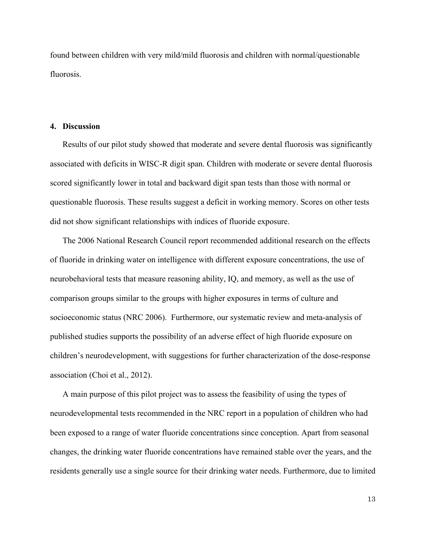found between children with very mild/mild fluorosis and children with normal/questionable fluorosis.

#### **4. Discussion**

Results of our pilot study showed that moderate and severe dental fluorosis was significantly associated with deficits in WISC-R digit span. Children with moderate or severe dental fluorosis scored significantly lower in total and backward digit span tests than those with normal or questionable fluorosis. These results suggest a deficit in working memory. Scores on other tests did not show significant relationships with indices of fluoride exposure.

The 2006 National Research Council report recommended additional research on the effects of fluoride in drinking water on intelligence with different exposure concentrations, the use of neurobehavioral tests that measure reasoning ability, IQ, and memory, as well as the use of comparison groups similar to the groups with higher exposures in terms of culture and socioeconomic status (NRC 2006). Furthermore, our systematic review and meta-analysis of published studies supports the possibility of an adverse effect of high fluoride exposure on children's neurodevelopment, with suggestions for further characterization of the dose-response association (Choi et al., 2012).

A main purpose of this pilot project was to assess the feasibility of using the types of neurodevelopmental tests recommended in the NRC report in a population of children who had been exposed to a range of water fluoride concentrations since conception. Apart from seasonal changes, the drinking water fluoride concentrations have remained stable over the years, and the residents generally use a single source for their drinking water needs. Furthermore, due to limited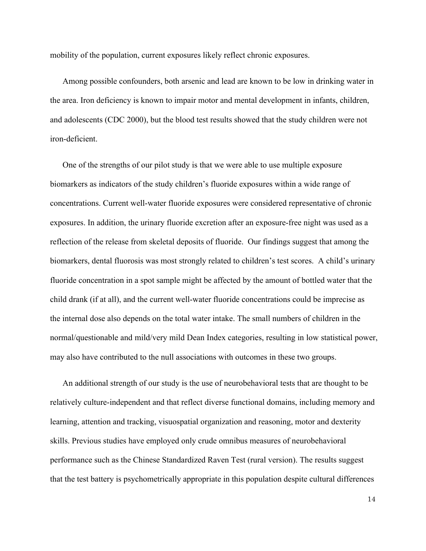mobility of the population, current exposures likely reflect chronic exposures.

Among possible confounders, both arsenic and lead are known to be low in drinking water in the area. Iron deficiency is known to impair motor and mental development in infants, children, and adolescents (CDC 2000), but the blood test results showed that the study children were not iron-deficient.

One of the strengths of our pilot study is that we were able to use multiple exposure biomarkers as indicators of the study children's fluoride exposures within a wide range of concentrations. Current well-water fluoride exposures were considered representative of chronic exposures. In addition, the urinary fluoride excretion after an exposure-free night was used as a reflection of the release from skeletal deposits of fluoride. Our findings suggest that among the biomarkers, dental fluorosis was most strongly related to children's test scores. A child's urinary fluoride concentration in a spot sample might be affected by the amount of bottled water that the child drank (if at all), and the current well-water fluoride concentrations could be imprecise as the internal dose also depends on the total water intake. The small numbers of children in the normal/questionable and mild/very mild Dean Index categories, resulting in low statistical power, may also have contributed to the null associations with outcomes in these two groups.

An additional strength of our study is the use of neurobehavioral tests that are thought to be relatively culture-independent and that reflect diverse functional domains, including memory and learning, attention and tracking, visuospatial organization and reasoning, motor and dexterity skills. Previous studies have employed only crude omnibus measures of neurobehavioral performance such as the Chinese Standardized Raven Test (rural version). The results suggest that the test battery is psychometrically appropriate in this population despite cultural differences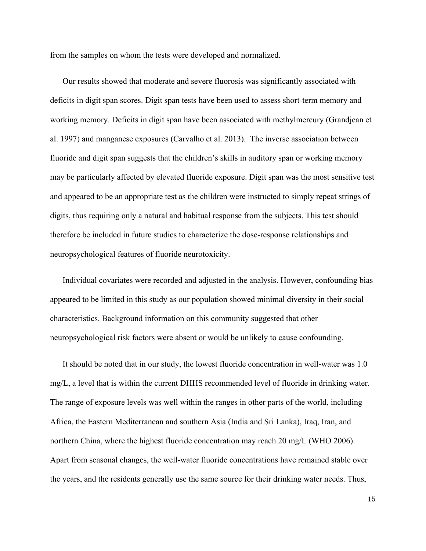from the samples on whom the tests were developed and normalized.

Our results showed that moderate and severe fluorosis was significantly associated with deficits in digit span scores. Digit span tests have been used to assess short-term memory and working memory. Deficits in digit span have been associated with methylmercury (Grandjean et al. 1997) and manganese exposures (Carvalho et al. 2013). The inverse association between fluoride and digit span suggests that the children's skills in auditory span or working memory may be particularly affected by elevated fluoride exposure. Digit span was the most sensitive test and appeared to be an appropriate test as the children were instructed to simply repeat strings of digits, thus requiring only a natural and habitual response from the subjects. This test should therefore be included in future studies to characterize the dose-response relationships and neuropsychological features of fluoride neurotoxicity.

Individual covariates were recorded and adjusted in the analysis. However, confounding bias appeared to be limited in this study as our population showed minimal diversity in their social characteristics. Background information on this community suggested that other neuropsychological risk factors were absent or would be unlikely to cause confounding.

It should be noted that in our study, the lowest fluoride concentration in well-water was 1.0 mg/L, a level that is within the current DHHS recommended level of fluoride in drinking water. The range of exposure levels was well within the ranges in other parts of the world, including Africa, the Eastern Mediterranean and southern Asia (India and Sri Lanka), Iraq, Iran, and northern China, where the highest fluoride concentration may reach 20 mg/L (WHO 2006). Apart from seasonal changes, the well-water fluoride concentrations have remained stable over the years, and the residents generally use the same source for their drinking water needs. Thus,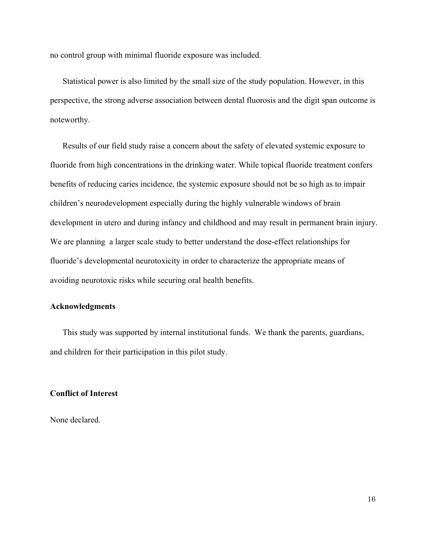no control group with minimal fluoride exposure was included.

Statistical power is also limited by the small size of the study population. However, in this perspective, the strong adverse association between dental fluorosis and the digit span outcome is noteworthy.

Results of our field study raise a concern about the safety of elevated systemic exposure to fluoride from high concentrations in the drinking water. While topical fluoride treatment confers benefits of reducing caries incidence, the systemic exposure should not be so high as to impair children's neurodevelopment especially during the highly vulnerable windows of brain development in utero and during infancy and childhood and may result in permanent brain injury. We are planning a larger scale study to better understand the dose-effect relationships for fluoride's developmental neurotoxicity in order to characterize the appropriate means of avoiding neurotoxic risks while securing oral health benefits.

#### **Acknowledgments**

This study was supported by internal institutional funds. We thank the parents, guardians, and children for their participation in this pilot study.

#### **Conflict of Interest**

None declared.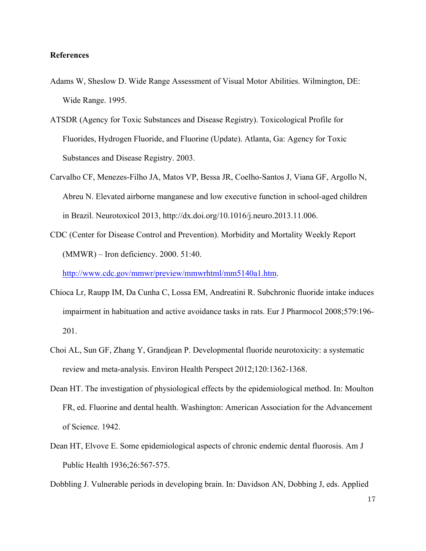#### **References**

- Adams W, Sheslow D. Wide Range Assessment of Visual Motor Abilities. Wilmington, DE: Wide Range. 1995.
- ATSDR (Agency for Toxic Substances and Disease Registry). Toxicological Profile for Fluorides, Hydrogen Fluoride, and Fluorine (Update). Atlanta, Ga: Agency for Toxic Substances and Disease Registry. 2003.
- Carvalho CF, Menezes-Filho JA, Matos VP, Bessa JR, Coelho-Santos J, Viana GF, Argollo N, Abreu N. Elevated airborne manganese and low executive function in school-aged children in Brazil. Neurotoxicol 2013, http://dx.doi.org/10.1016/j.neuro.2013.11.006.
- CDC (Center for Disease Control and Prevention). Morbidity and Mortality Weekly Report (MMWR) – Iron deficiency. 2000. 51:40.

http://www.cdc.gov/mmwr/preview/mmwrhtml/mm5140a1.htm.

- Chioca Lr, Raupp IM, Da Cunha C, Lossa EM, Andreatini R. Subchronic fluoride intake induces impairment in habituation and active avoidance tasks in rats. Eur J Pharmocol 2008;579:196- 201.
- Choi AL, Sun GF, Zhang Y, Grandjean P. Developmental fluoride neurotoxicity: a systematic review and meta-analysis. Environ Health Perspect 2012;120:1362-1368.
- Dean HT. The investigation of physiological effects by the epidemiological method. In: Moulton FR, ed. Fluorine and dental health. Washington: American Association for the Advancement of Science. 1942.
- Dean HT, Elvove E. Some epidemiological aspects of chronic endemic dental fluorosis. Am J Public Health 1936;26:567-575.

Dobbling J. Vulnerable periods in developing brain. In: Davidson AN, Dobbing J, eds. Applied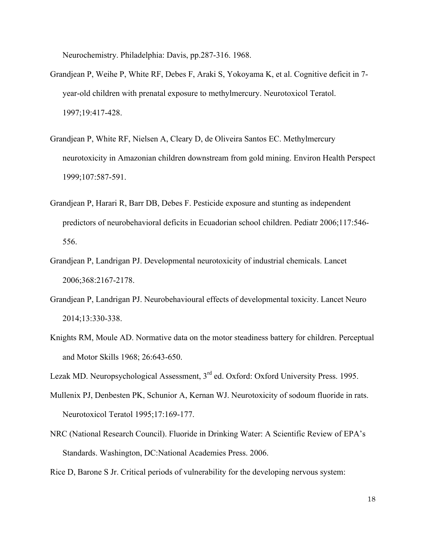Neurochemistry. Philadelphia: Davis, pp.287-316. 1968.

- Grandjean P, Weihe P, White RF, Debes F, Araki S, Yokoyama K, et al. Cognitive deficit in 7 year-old children with prenatal exposure to methylmercury. Neurotoxicol Teratol. 1997;19:417-428.
- Grandjean P, White RF, Nielsen A, Cleary D, de Oliveira Santos EC. Methylmercury neurotoxicity in Amazonian children downstream from gold mining. Environ Health Perspect 1999;107:587-591.
- Grandjean P, Harari R, Barr DB, Debes F. Pesticide exposure and stunting as independent predictors of neurobehavioral deficits in Ecuadorian school children. Pediatr 2006;117:546- 556.
- Grandjean P, Landrigan PJ. Developmental neurotoxicity of industrial chemicals. Lancet 2006;368:2167-2178.
- Grandjean P, Landrigan PJ. Neurobehavioural effects of developmental toxicity. Lancet Neuro 2014;13:330-338.
- Knights RM, Moule AD. Normative data on the motor steadiness battery for children. Perceptual and Motor Skills 1968; 26:643-650.

Lezak MD. Neuropsychological Assessment, 3<sup>rd</sup> ed. Oxford: Oxford University Press. 1995.

- Mullenix PJ, Denbesten PK, Schunior A, Kernan WJ. Neurotoxicity of sodoum fluoride in rats. Neurotoxicol Teratol 1995;17:169-177.
- NRC (National Research Council). Fluoride in Drinking Water: A Scientific Review of EPA's Standards. Washington, DC:National Academies Press. 2006.

Rice D, Barone S Jr. Critical periods of vulnerability for the developing nervous system: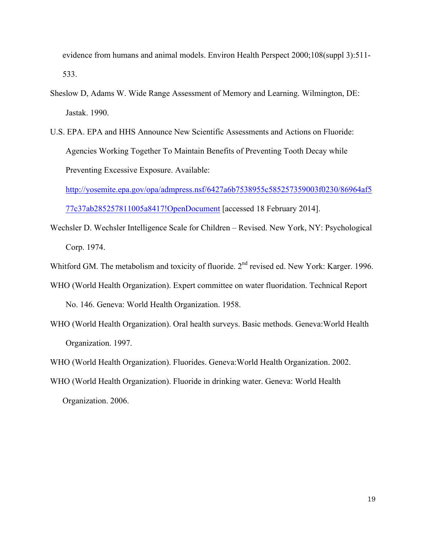evidence from humans and animal models. Environ Health Perspect 2000;108(suppl 3):511- 533.

- Sheslow D, Adams W. Wide Range Assessment of Memory and Learning. Wilmington, DE: Jastak. 1990.
- U.S. EPA. EPA and HHS Announce New Scientific Assessments and Actions on Fluoride: Agencies Working Together To Maintain Benefits of Preventing Tooth Decay while Preventing Excessive Exposure. Available:

http://yosemite.epa.gov/opa/admpress.nsf/6427a6b7538955c585257359003f0230/86964af5

77c37ab285257811005a8417!OpenDocument [accessed 18 February 2014].

- Wechsler D. Wechsler Intelligence Scale for Children Revised. New York, NY: Psychological Corp. 1974.
- Whitford GM. The metabolism and toxicity of fluoride. 2<sup>nd</sup> revised ed. New York: Karger. 1996.
- WHO (World Health Organization). Expert committee on water fluoridation. Technical Report No. 146. Geneva: World Health Organization. 1958.
- WHO (World Health Organization). Oral health surveys. Basic methods. Geneva:World Health Organization. 1997.
- WHO (World Health Organization). Fluorides. Geneva:World Health Organization. 2002.
- WHO (World Health Organization). Fluoride in drinking water. Geneva: World Health Organization. 2006.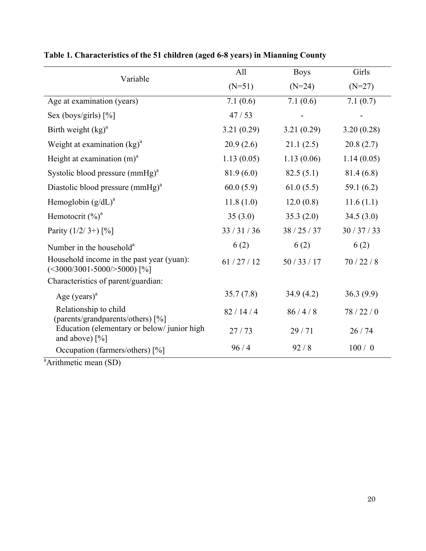|                                                                                  | All        | <b>Boys</b> | Girls        |
|----------------------------------------------------------------------------------|------------|-------------|--------------|
| Variable                                                                         | $(N=51)$   | $(N=24)$    | $(N=27)$     |
| Age at examination (years)                                                       | 7.1(0.6)   | 7.1(0.6)    | 7.1(0.7)     |
| Sex (boys/girls) [%]                                                             | 47/53      |             |              |
| Birth weight $(kg)^a$                                                            | 3.21(0.29) | 3.21(0.29)  | 3.20(0.28)   |
| Weight at examination $(kg)^a$                                                   | 20.9(2.6)  | 21.1(2.5)   | 20.8(2.7)    |
| Height at examination $(m)^a$                                                    | 1.13(0.05) | 1.13(0.06)  | 1.14(0.05)   |
| Systolic blood pressure $(mmHg)^a$                                               | 81.9(6.0)  | 82.5(5.1)   | 81.4 (6.8)   |
| Diastolic blood pressure $(mmHg)^{a}$                                            | 60.0(5.9)  | 61.0(5.5)   | 59.1 $(6.2)$ |
| Hemoglobin $(g/dL)^a$                                                            | 11.8(1.0)  | 12.0(0.8)   | 11.6(1.1)    |
| Hemotocrit $(\%)^a$                                                              | 35(3.0)    | 35.3(2.0)   | 34.5(3.0)    |
| Parity $(1/2/3+)$ [%]                                                            | 33/31/36   | 38/25/37    | 30/37/33     |
| Number in the household <sup>a</sup>                                             | 6(2)       | 6(2)        | 6(2)         |
| Household income in the past year (yuan):<br>$(\leq 3000/3001 - 5000/>5000)$ [%] | 61/27/12   | 50/33/17    | 70/22/8      |
| Characteristics of parent/guardian:                                              |            |             |              |
| Age $(years)^a$                                                                  | 35.7(7.8)  | 34.9(4.2)   | 36.3(9.9)    |
| Relationship to child<br>(parents/grandparents/others) [%]                       | 82/14/4    | 86/4/8      | 78/22/0      |
| Education (elementary or below/junior high<br>and above) $[\%]$                  | 27/73      | 29/71       | 26/74        |
| Occupation (farmers/others) [%]                                                  | 96/4       | 92/8        | 100/0        |

## **Table 1. Characteristics of the 51 children (aged 6-8 years) in Mianning County**

<sup>a</sup>Arithmetic mean (SD)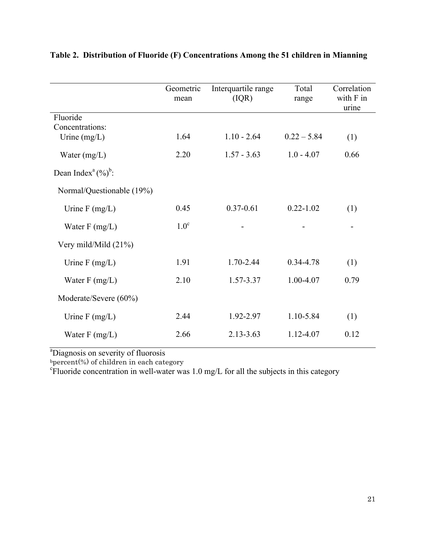|                                    | Geometric<br>mean | Interquartile range<br>(IQR) | Total<br>range | Correlation<br>with F in<br>urine |
|------------------------------------|-------------------|------------------------------|----------------|-----------------------------------|
| Fluoride                           |                   |                              |                |                                   |
| Concentrations:                    |                   |                              |                |                                   |
| Urine $(mg/L)$                     | 1.64              | $1.10 - 2.64$                | $0.22 - 5.84$  | (1)                               |
| Water $(mg/L)$                     | 2.20              | $1.57 - 3.63$                | $1.0 - 4.07$   | 0.66                              |
| Dean Index <sup>a</sup> $(\%)^b$ : |                   |                              |                |                                   |
| Normal/Questionable (19%)          |                   |                              |                |                                   |
| Urine $F$ (mg/L)                   | 0.45              | $0.37 - 0.61$                | $0.22 - 1.02$  | (1)                               |
| Water $F(mg/L)$                    | 1.0 <sup>c</sup>  |                              |                |                                   |
| Very mild/Mild (21%)               |                   |                              |                |                                   |
| Urine $F$ (mg/L)                   | 1.91              | 1.70-2.44                    | 0.34-4.78      | (1)                               |
| Water $F(mg/L)$                    | 2.10              | 1.57-3.37                    | 1.00-4.07      | 0.79                              |
| Moderate/Severe (60%)              |                   |                              |                |                                   |
| Urine $F$ (mg/L)                   | 2.44              | 1.92-2.97                    | 1.10-5.84      | (1)                               |
| Water $F(mg/L)$                    | 2.66              | $2.13 - 3.63$                | 1.12-4.07      | 0.12                              |

**Table 2. Distribution of Fluoride (F) Concentrations Among the 51 children in Mianning** 

<sup>a</sup>Diagnosis on severity of fluorosis

bpercent(%) of children in each category<br><sup>c</sup>Fluoride concentration in well-water was 1.0 mg/L for all the subjects in this category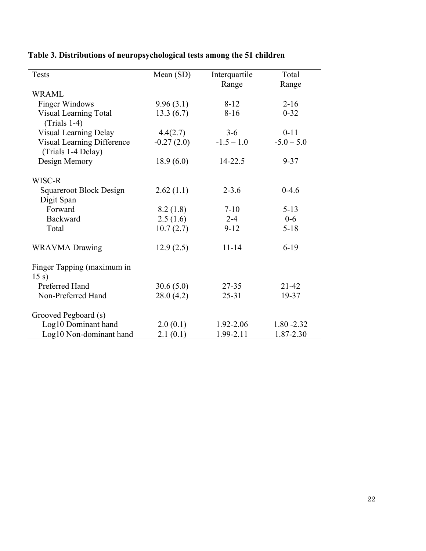| <b>Tests</b>                                     | Mean (SD)    | Interquartile | Total         |
|--------------------------------------------------|--------------|---------------|---------------|
|                                                  |              | Range         | Range         |
| <b>WRAML</b>                                     |              |               |               |
| <b>Finger Windows</b>                            | 9.96(3.1)    | $8 - 12$      | $2 - 16$      |
| <b>Visual Learning Total</b><br>$(Trials 1-4)$   | 13.3(6.7)    | $8-16$        | $0 - 32$      |
| Visual Learning Delay                            | 4.4(2.7)     | $3-6$         | $0 - 11$      |
| Visual Learning Difference<br>(Trials 1-4 Delay) | $-0.27(2.0)$ | $-1.5 - 1.0$  | $-5.0 - 5.0$  |
| Design Memory                                    | 18.9(6.0)    | 14-22.5       | $9 - 37$      |
| WISC-R                                           |              |               |               |
| <b>Squareroot Block Design</b>                   | 2.62(1.1)    | $2 - 3.6$     | $0-4.6$       |
| Digit Span<br>Forward                            |              | $7-10$        | $5 - 13$      |
| <b>Backward</b>                                  | 8.2(1.8)     | $2 - 4$       | $0 - 6$       |
|                                                  | 2.5(1.6)     |               |               |
| Total                                            | 10.7(2.7)    | $9 - 12$      | $5 - 18$      |
| <b>WRAVMA</b> Drawing                            | 12.9(2.5)    | $11 - 14$     | $6-19$        |
| Finger Tapping (maximum in<br>15 s)              |              |               |               |
| Preferred Hand                                   | 30.6(5.0)    | $27 - 35$     | $21 - 42$     |
| Non-Preferred Hand                               | 28.0(4.2)    | $25 - 31$     | 19-37         |
| Grooved Pegboard (s)                             |              |               |               |
| Log10 Dominant hand                              | 2.0(0.1)     | 1.92-2.06     | $1.80 - 2.32$ |
| Log10 Non-dominant hand                          | 2.1(0.1)     | 1.99-2.11     | 1.87-2.30     |

## **Table 3. Distributions of neuropsychological tests among the 51 children**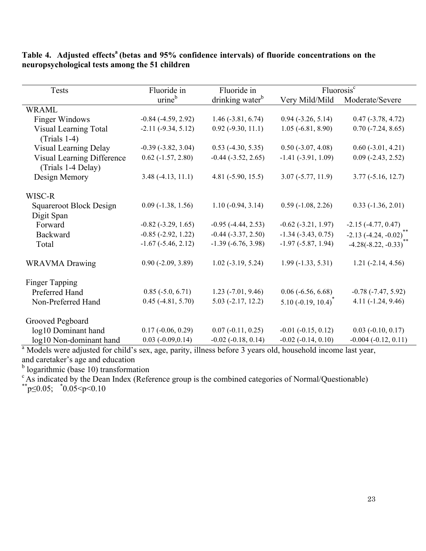**Table 4. Adjusted effects<sup>a</sup> (betas and 95% confidence intervals) of fluoride concentrations on the neuropsychological tests among the 51 children** 

| Tests                        | Fluoride in                 | Fluoride in                 | Fluorosis <sup>c</sup>      |                             |
|------------------------------|-----------------------------|-----------------------------|-----------------------------|-----------------------------|
|                              | urine <sup>b</sup>          | drinking water <sup>b</sup> | Very Mild/Mild              | Moderate/Severe             |
| <b>WRAML</b>                 |                             |                             |                             |                             |
| <b>Finger Windows</b>        | $-0.84$ $(-4.59, 2.92)$     | $1.46$ ( $-3.81$ , 6.74)    | $0.94$ ( $-3.26$ , 5.14)    | $0.47$ ( $-3.78$ , 4.72)    |
| <b>Visual Learning Total</b> | $-2.11(-9.34, 5.12)$        | $0.92$ (-9.30, 11.1)        | $1.05 (-6.81, 8.90)$        | $0.70$ ( $-7.24$ , $8.65$ ) |
| $(Trials 1-4)$               |                             |                             |                             |                             |
| Visual Learning Delay        | $-0.39(-3.82, 3.04)$        | $0.53$ (-4.30, 5.35)        | $0.50$ (-3.07, 4.08)        | $0.60$ (-3.01, 4.21)        |
| Visual Learning Difference   | $0.62$ ( $-1.57, 2.80$ )    | $-0.44$ $(-3.52, 2.65)$     | $-1.41$ $(-3.91, 1.09)$     | $0.09$ (-2.43, 2.52)        |
| (Trials 1-4 Delay)           |                             |                             |                             |                             |
| Design Memory                | $3.48(-4.13, 11.1)$         | 4.81 $(-5.90, 15.5)$        | $3.07 (-5.77, 11.9)$        | $3.77(-5.16, 12.7)$         |
|                              |                             |                             |                             |                             |
| WISC-R                       |                             |                             |                             |                             |
| Squareroot Block Design      | $0.09$ ( $-1.38$ , $1.56$ ) | $1.10(-0.94, 3.14)$         | $0.59(-1.08, 2.26)$         | $0.33(-1.36, 2.01)$         |
| Digit Span                   |                             |                             |                             |                             |
| Forward                      | $-0.82$ $(-3.29, 1.65)$     | $-0.95$ $(-4.44, 2.53)$     | $-0.62$ $(-3.21, 1.97)$     | $-2.15(-4.77, 0.47)$        |
| Backward                     | $-0.85$ $(-2.92, 1.22)$     | $-0.44$ $(-3.37, 2.50)$     | $-1.34$ $(-3.43, 0.75)$     | $-2.13(-4.24, -0.02)^{**}$  |
| Total                        | $-1.67$ $(-5.46, 2.12)$     | $-1.39(-6.76, 3.98)$        | $-1.97$ ( $-5.87$ , 1.94)   | $-4.28(-8.22, -0.33)$       |
|                              |                             |                             |                             |                             |
| <b>WRAVMA</b> Drawing        | $0.90(-2.09, 3.89)$         | $1.02$ ( $-3.19$ , $5.24$ ) | $1.99(-1.33, 5.31)$         | $1.21 (-2.14, 4.56)$        |
|                              |                             |                             |                             |                             |
| Finger Tapping               |                             |                             |                             |                             |
| Preferred Hand               | $0.85$ ( $-5.0, 6.71$ )     | $1.23$ ( $-7.01$ , $9.46$ ) | $0.06$ ( $-6.56$ , $6.68$ ) | $-0.78$ $(-7.47, 5.92)$     |
| Non-Preferred Hand           | $0.45$ (-4.81, 5.70)        | $5.03$ ( $-2.17$ , 12.2)    | $5.10 (-0.19, 10.4)^*$      | $4.11(-1.24, 9.46)$         |
|                              |                             |                             |                             |                             |
| Grooved Pegboard             |                             |                             |                             |                             |
| log10 Dominant hand          | $0.17(-0.06, 0.29)$         | $0.07(-0.11, 0.25)$         | $-0.01$ $(-0.15, 0.12)$     | $0.03$ (-0.10, 0.17)        |
| log10 Non-dominant hand      | $0.03$ ( $-0.09, 0.14$ )    | $-0.02$ $(-0.18, 0.14)$     | $-0.02$ $(-0.14, 0.10)$     | $-0.004 (-0.12, 0.11)$      |

<sup>a</sup> Models were adjusted for child's sex, age, parity, illness before 3 years old, household income last year, and caretaker's age and education

<sup>b</sup> logarithmic (base 10) transformation

<sup>c</sup> As indicated by the Dean Index (Reference group is the combined categories of Normal/Questionable)  $*_{p \le 0.05; \atop p \le 0.05}$  \*0.05<p<0.10